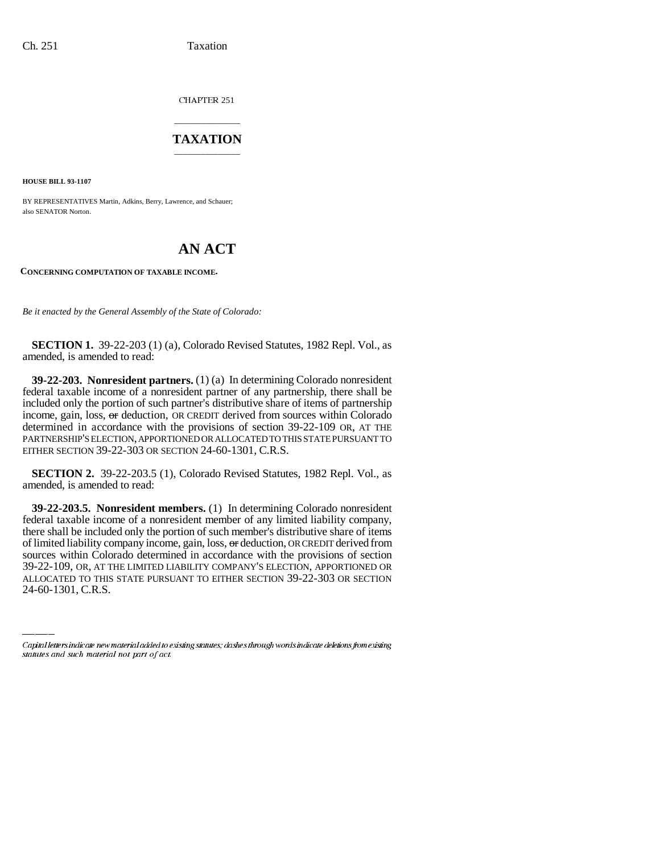CHAPTER 251

## \_\_\_\_\_\_\_\_\_\_\_\_\_\_\_ **TAXATION** \_\_\_\_\_\_\_\_\_\_\_\_\_\_\_

**HOUSE BILL 93-1107**

BY REPRESENTATIVES Martin, Adkins, Berry, Lawrence, and Schauer; also SENATOR Norton.

## **AN ACT**

**CONCERNING COMPUTATION OF TAXABLE INCOME.**

*Be it enacted by the General Assembly of the State of Colorado:*

**SECTION 1.** 39-22-203 (1) (a), Colorado Revised Statutes, 1982 Repl. Vol., as amended, is amended to read:

**39-22-203. Nonresident partners.** (1) (a) In determining Colorado nonresident federal taxable income of a nonresident partner of any partnership, there shall be included only the portion of such partner's distributive share of items of partnership income, gain, loss, or deduction, OR CREDIT derived from sources within Colorado determined in accordance with the provisions of section 39-22-109 OR, AT THE PARTNERSHIP'S ELECTION, APPORTIONED OR ALLOCATED TO THIS STATE PURSUANT TO EITHER SECTION 39-22-303 OR SECTION 24-60-1301, C.R.S.

**SECTION 2.** 39-22-203.5 (1), Colorado Revised Statutes, 1982 Repl. Vol., as amended, is amended to read:

sources within Colorado determined in accordance with the provisions of section **39-22-203.5. Nonresident members.** (1) In determining Colorado nonresident federal taxable income of a nonresident member of any limited liability company, there shall be included only the portion of such member's distributive share of items of limited liability company income, gain, loss, or deduction, OR CREDIT derived from 39-22-109, OR, AT THE LIMITED LIABILITY COMPANY'S ELECTION, APPORTIONED OR ALLOCATED TO THIS STATE PURSUANT TO EITHER SECTION 39-22-303 OR SECTION 24-60-1301, C.R.S.

Capital letters indicate new material added to existing statutes; dashes through words indicate deletions from existing statutes and such material not part of act.